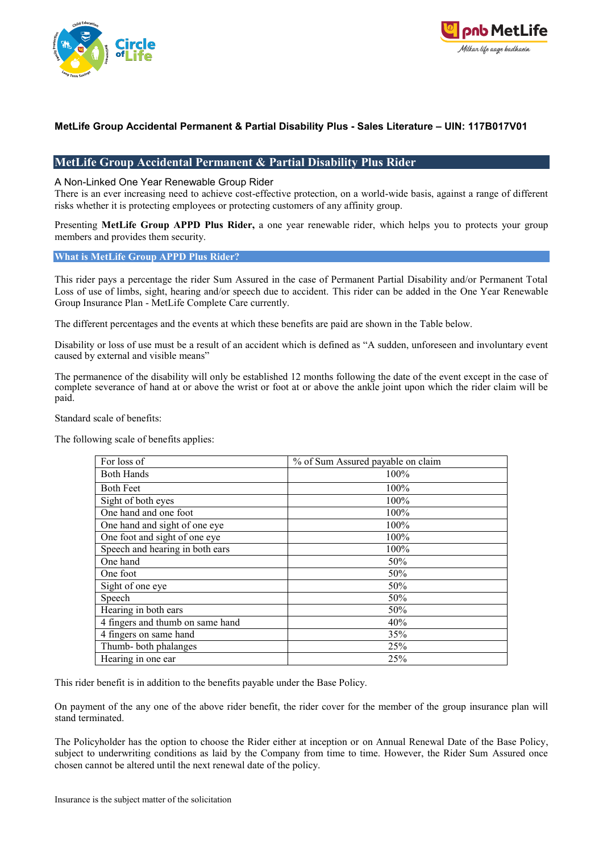



# **MetLife Group Accidental Permanent & Partial Disability Plus Rider**

A Non-Linked One Year Renewable Group Rider

There is an ever increasing need to achieve cost-effective protection, on a world-wide basis, against a range of different risks whether it is protecting employees or protecting customers of any affinity group.

Presenting **MetLife Group APPD Plus Rider,** a one year renewable rider, which helps you to protects your group members and provides them security.

#### **What is MetLife Group APPD Plus Rider?**

This rider pays a percentage the rider Sum Assured in the case of Permanent Partial Disability and/or Permanent Total Loss of use of limbs, sight, hearing and/or speech due to accident. This rider can be added in the One Year Renewable Group Insurance Plan - MetLife Complete Care currently.

The different percentages and the events at which these benefits are paid are shown in the Table below.

Disability or loss of use must be a result of an accident which is defined as "A sudden, unforeseen and involuntary event caused by external and visible means"

The permanence of the disability will only be established 12 months following the date of the event except in the case of complete severance of hand at or above the wrist or foot at or above the ankle joint upon which the rider claim will be paid.

Standard scale of benefits:

The following scale of benefits applies:

| For loss of                      | % of Sum Assured payable on claim |
|----------------------------------|-----------------------------------|
| <b>Both Hands</b>                | 100%                              |
| <b>Both Feet</b>                 | 100%                              |
| Sight of both eyes               | 100%                              |
| One hand and one foot            | 100%                              |
| One hand and sight of one eye    | 100%                              |
| One foot and sight of one eye    | 100%                              |
| Speech and hearing in both ears  | 100%                              |
| One hand                         | 50%                               |
| One foot                         | 50%                               |
| Sight of one eye                 | 50%                               |
| Speech                           | 50%                               |
| Hearing in both ears             | 50%                               |
| 4 fingers and thumb on same hand | 40%                               |
| 4 fingers on same hand           | 35%                               |
| Thumb-both phalanges             | 25%                               |
| Hearing in one ear               | 25%                               |

This rider benefit is in addition to the benefits payable under the Base Policy.

On payment of the any one of the above rider benefit, the rider cover for the member of the group insurance plan will stand terminated.

The Policyholder has the option to choose the Rider either at inception or on Annual Renewal Date of the Base Policy, subject to underwriting conditions as laid by the Company from time to time. However, the Rider Sum Assured once chosen cannot be altered until the next renewal date of the policy.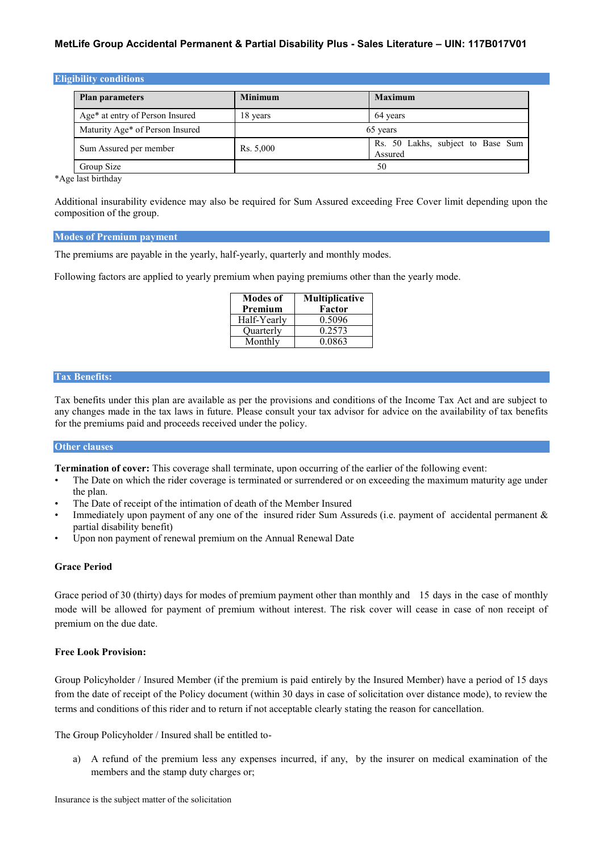| <b>Eligibility conditions</b>   |                |                                              |
|---------------------------------|----------------|----------------------------------------------|
| <b>Plan parameters</b>          | <b>Minimum</b> | <b>Maximum</b>                               |
| Age* at entry of Person Insured | 18 years       | 64 years                                     |
| Maturity Age* of Person Insured |                | 65 years                                     |
| Sum Assured per member          | Rs. 5,000      | Rs. 50 Lakhs, subject to Base Sum<br>Assured |
| Group Size                      |                | 50                                           |

\*Age last birthday

Additional insurability evidence may also be required for Sum Assured exceeding Free Cover limit depending upon the composition of the group.

#### **Modes of Premium payment**

The premiums are payable in the yearly, half-yearly, quarterly and monthly modes.

Following factors are applied to yearly premium when paying premiums other than the yearly mode.

| <b>Modes of</b><br>Premium | Multiplicative<br>Factor |
|----------------------------|--------------------------|
| Half-Yearly                | 0.5096                   |
| Ouarterly                  | 0.2573                   |
| Monthly                    | 0.0863                   |

#### **Tax Benefits:**

Tax benefits under this plan are available as per the provisions and conditions of the Income Tax Act and are subject to any changes made in the tax laws in future. Please consult your tax advisor for advice on the availability of tax benefits for the premiums paid and proceeds received under the policy.

### **Other clauses**

**Termination of cover:** This coverage shall terminate, upon occurring of the earlier of the following event:

- The Date on which the rider coverage is terminated or surrendered or on exceeding the maximum maturity age under the plan.
- The Date of receipt of the intimation of death of the Member Insured
- Immediately upon payment of any one of the insured rider Sum Assureds (i.e. payment of accidental permanent & partial disability benefit)
- Upon non payment of renewal premium on the Annual Renewal Date

### **Grace Period**

Grace period of 30 (thirty) days for modes of premium payment other than monthly and 15 days in the case of monthly mode will be allowed for payment of premium without interest. The risk cover will cease in case of non receipt of premium on the due date.

#### **Free Look Provision:**

Group Policyholder / Insured Member (if the premium is paid entirely by the Insured Member) have a period of 15 days from the date of receipt of the Policy document (within 30 days in case of solicitation over distance mode), to review the terms and conditions of this rider and to return if not acceptable clearly stating the reason for cancellation.

The Group Policyholder / Insured shall be entitled to-

a) A refund of the premium less any expenses incurred, if any, by the insurer on medical examination of the members and the stamp duty charges or;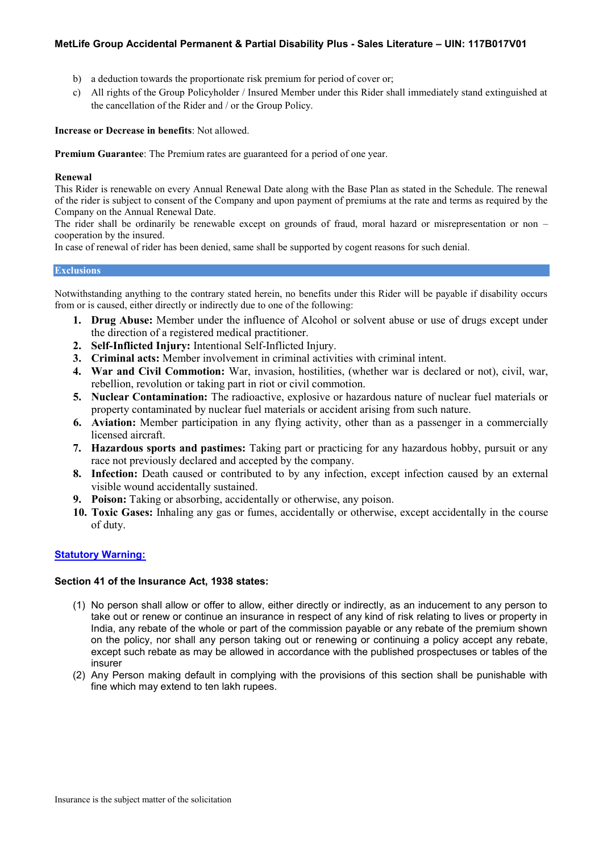- b) a deduction towards the proportionate risk premium for period of cover or;
- c) All rights of the Group Policyholder / Insured Member under this Rider shall immediately stand extinguished at the cancellation of the Rider and / or the Group Policy.

### **Increase or Decrease in benefits**: Not allowed.

**Premium Guarantee**: The Premium rates are guaranteed for a period of one year.

#### **Renewal**

This Rider is renewable on every Annual Renewal Date along with the Base Plan as stated in the Schedule. The renewal of the rider is subject to consent of the Company and upon payment of premiums at the rate and terms as required by the Company on the Annual Renewal Date.

The rider shall be ordinarily be renewable except on grounds of fraud, moral hazard or misrepresentation or non – cooperation by the insured.

In case of renewal of rider has been denied, same shall be supported by cogent reasons for such denial.

#### **Exclusions**

Notwithstanding anything to the contrary stated herein, no benefits under this Rider will be payable if disability occurs from or is caused, either directly or indirectly due to one of the following:

- **1. Drug Abuse:** Member under the influence of Alcohol or solvent abuse or use of drugs except under the direction of a registered medical practitioner.
- **2. Self-Inflicted Injury:** Intentional Self-Inflicted Injury.
- **3. Criminal acts:** Member involvement in criminal activities with criminal intent.
- **4. War and Civil Commotion:** War, invasion, hostilities, (whether war is declared or not), civil, war, rebellion, revolution or taking part in riot or civil commotion.
- **5. Nuclear Contamination:** The radioactive, explosive or hazardous nature of nuclear fuel materials or property contaminated by nuclear fuel materials or accident arising from such nature.
- **6. Aviation:** Member participation in any flying activity, other than as a passenger in a commercially licensed aircraft.
- **7. Hazardous sports and pastimes:** Taking part or practicing for any hazardous hobby, pursuit or any race not previously declared and accepted by the company.
- **8. Infection:** Death caused or contributed to by any infection, except infection caused by an external visible wound accidentally sustained.
- **9. Poison:** Taking or absorbing, accidentally or otherwise, any poison.
- **10. Toxic Gases:** Inhaling any gas or fumes, accidentally or otherwise, except accidentally in the course of duty.

### **Statutory Warning:**

# **Section 41 of the Insurance Act, 1938 states:**

- (1) No person shall allow or offer to allow, either directly or indirectly, as an inducement to any person to take out or renew or continue an insurance in respect of any kind of risk relating to lives or property in India, any rebate of the whole or part of the commission payable or any rebate of the premium shown on the policy, nor shall any person taking out or renewing or continuing a policy accept any rebate, except such rebate as may be allowed in accordance with the published prospectuses or tables of the insurer
- (2) Any Person making default in complying with the provisions of this section shall be punishable with fine which may extend to ten lakh rupees.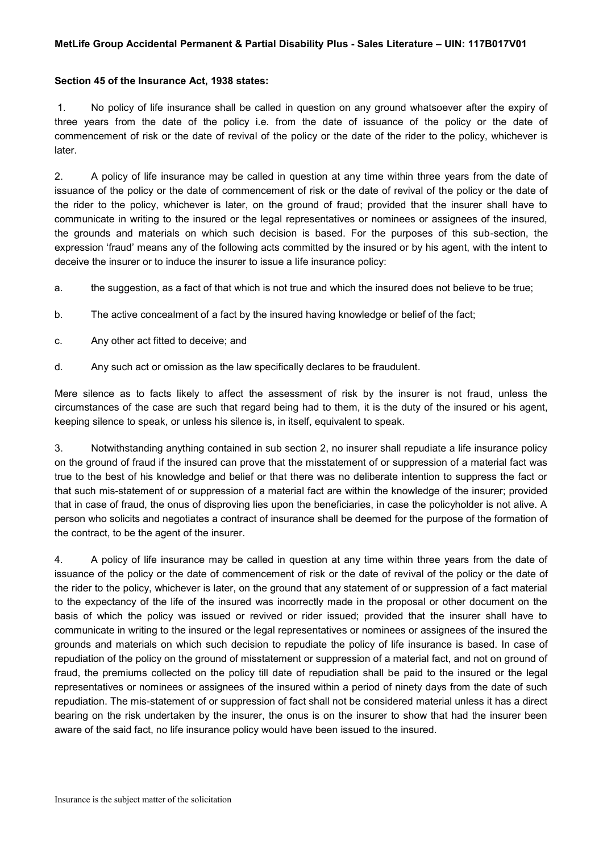## **Section 45 of the Insurance Act, 1938 states:**

1. No policy of life insurance shall be called in question on any ground whatsoever after the expiry of three years from the date of the policy i.e. from the date of issuance of the policy or the date of commencement of risk or the date of revival of the policy or the date of the rider to the policy, whichever is later.

2. A policy of life insurance may be called in question at any time within three years from the date of issuance of the policy or the date of commencement of risk or the date of revival of the policy or the date of the rider to the policy, whichever is later, on the ground of fraud; provided that the insurer shall have to communicate in writing to the insured or the legal representatives or nominees or assignees of the insured, the grounds and materials on which such decision is based. For the purposes of this sub-section, the expression 'fraud' means any of the following acts committed by the insured or by his agent, with the intent to deceive the insurer or to induce the insurer to issue a life insurance policy:

- a. the suggestion, as a fact of that which is not true and which the insured does not believe to be true;
- b. The active concealment of a fact by the insured having knowledge or belief of the fact;
- c. Any other act fitted to deceive; and
- d. Any such act or omission as the law specifically declares to be fraudulent.

Mere silence as to facts likely to affect the assessment of risk by the insurer is not fraud, unless the circumstances of the case are such that regard being had to them, it is the duty of the insured or his agent, keeping silence to speak, or unless his silence is, in itself, equivalent to speak.

3. Notwithstanding anything contained in sub section 2, no insurer shall repudiate a life insurance policy on the ground of fraud if the insured can prove that the misstatement of or suppression of a material fact was true to the best of his knowledge and belief or that there was no deliberate intention to suppress the fact or that such mis-statement of or suppression of a material fact are within the knowledge of the insurer; provided that in case of fraud, the onus of disproving lies upon the beneficiaries, in case the policyholder is not alive. A person who solicits and negotiates a contract of insurance shall be deemed for the purpose of the formation of the contract, to be the agent of the insurer.

4. A policy of life insurance may be called in question at any time within three years from the date of issuance of the policy or the date of commencement of risk or the date of revival of the policy or the date of the rider to the policy, whichever is later, on the ground that any statement of or suppression of a fact material to the expectancy of the life of the insured was incorrectly made in the proposal or other document on the basis of which the policy was issued or revived or rider issued; provided that the insurer shall have to communicate in writing to the insured or the legal representatives or nominees or assignees of the insured the grounds and materials on which such decision to repudiate the policy of life insurance is based. In case of repudiation of the policy on the ground of misstatement or suppression of a material fact, and not on ground of fraud, the premiums collected on the policy till date of repudiation shall be paid to the insured or the legal representatives or nominees or assignees of the insured within a period of ninety days from the date of such repudiation. The mis-statement of or suppression of fact shall not be considered material unless it has a direct bearing on the risk undertaken by the insurer, the onus is on the insurer to show that had the insurer been aware of the said fact, no life insurance policy would have been issued to the insured.